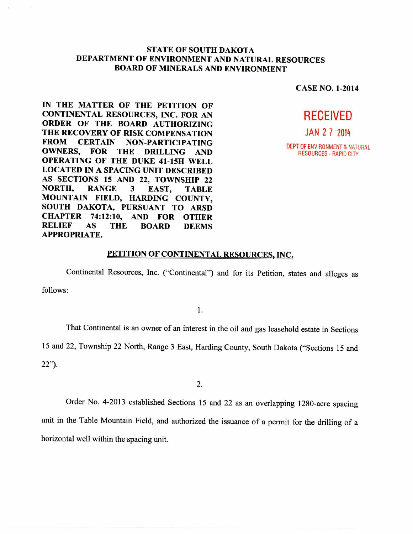## **STATE OF SOUTH DAKOTA DEPARTMENT OF ENVIRONMENT AND NATURAL RESOURCES BOARD OF MINERALS AND ENVIRONMENT**

**CASE NO. 1-2014** 

# **RECEIVED**

JAN 2 7 2014

DEPT OF ENVIRONMENT & NATURAL RESOURCES - RAPID CITY

IN THE MATTER OF THE PETITION OF **CONTINENTAL RESOURCES, INC. FOR AN ORDER OF THE BOARD AUTHORIZING THE RECOVERY OF RISK COMPENSATION FROM CERTAIN NON-PARTICIPATING OWNERS, FOR THE DRILLING AND OPERATING OF THE DUKE 41-15H WELL LOCATED IN A SPACING UNIT DESCRIBED AS SECTIONS 15 AND 22, TOWNSHIP 22 NORTH, RANGE 3 EAST, TABLE MOUNTAIN FIELD, HARDING COUNTY, SOUTH DAKOTA, PURSUANT TO ARSD CHAPTER 74:12:10, AND FOR OTHER RELIEF AS THE BOARD DEEMS APPROPRIATE.** 

#### **PETITION OF CONTINENTAL RESOURCES, INC.**

Continental Resources, Inc. ("Continental") and for its Petition, states and alleges as

follows:

1.

That Continental is an owner of an interest in the oil and gas leasehold estate in Sections

15 and 22, Township 22 North, Range 3 East, Harding County, South Dakota ("Sections 15 and

22").

2.

Order No. 4-2013 established Sections 15 and 22 as an overlapping 1280-acre spacing unit in the Table Mountain Field, and authorized the issuance of a permit for the drilling of a horizontal well within the spacing unit.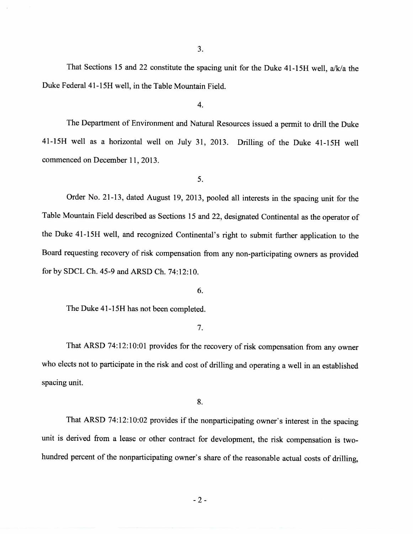3.

That Sections 15 and 22 constitute the spacing unit for the Duke 41-15H well, a/k/a the Duke Federal 41-15H well, in the Table Mountain Field.

4.

The Department of Environment and Natural Resources issued a permit to drill the Duke 41-15H well as a horizontal well on July 31, 2013. Drilling of the Duke 41-15H well commenced on December 11, 2013.

5.

Order No. 21-13, dated August 19, 2013, pooled all interests in the spacing unit for the Table Mountain Field described as Sections 15 and 22, designated Continental as the operator of the Duke 41-15H well, and recognized Continental's right to submit further application to the Board requesting recovery of risk compensation from any non-participating owners as provided for by SDCL Ch. 45-9 and ARSD Ch. 74:12:10.

6.

The Duke 41-15H has not been completed.

7.

That ARSD 74:12:10:01 provides for the recovery of risk compensation from any owner who elects not to participate in the risk and cost of drilling and operating a well in an established spacing unit.

8.

That ARSD 74:12:10:02 provides if the nonparticipating owner's interest in the spacing unit is derived from a lease or other contract for development, the risk compensation is twohundred percent of the nonparticipating owner's share of the reasonable actual costs of drilling,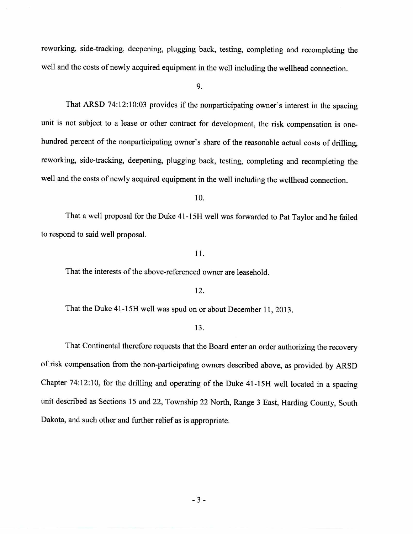reworking, side-tracking, deepening, plugging back, testing, completing and recompleting the well and the costs of newly acquired equipment in the well including the wellhead connection.

9.

That ARSD 74:12:10:03 provides if the nonparticipating owner's interest in the spacing unit is not subject to a lease or other contract for development, the risk compensation is onehundred percent of the nonparticipating owner's share of the reasonable actual costs of drilling, reworking, side-tracking, deepening, plugging back, testing, completing and recompleting the well and the costs of newly acquired equipment in the well including the wellhead connection.

10.

That a well proposal for the Duke 41-15H well was forwarded to Pat Taylor and he failed to respond to said well proposal.

11.

That the interests of the above-referenced owner are leasehold.

### 12.

That the Duke 41-15H well was spud on or about December 11, 2013.

#### 13.

That Continental therefore requests that the Board enter an order authorizing the recovery of risk compensation from the non-participating owners described above, as provided by ARSD Chapter 74:12:10, for the drilling and operating of the Duke 41-15H well located in a spacing unit described as Sections 15 and 22, Township 22 North, Range 3 East, Harding County, South Dakota, and such other and further relief as is appropriate.